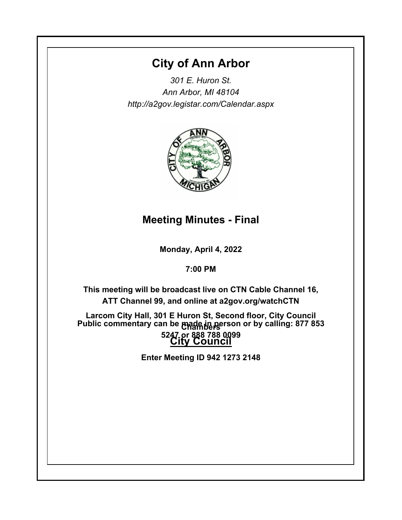# **City of Ann Arbor**

*301 E. Huron St. Ann Arbor, MI 48104 http://a2gov.legistar.com/Calendar.aspx*



# **Meeting Minutes - Final**

**Monday, April 4, 2022**

**7:00 PM**

**This meeting will be broadcast live on CTN Cable Channel 16, ATT Channel 99, and online at a2gov.org/watchCTN** 

**Larcom City Hall, 301 E Huron St, Second floor, City Council Chambers Public commentary can be made in person or by calling: 877 853 City Council 5247 or 888 788 0099** 

**Enter Meeting ID 942 1273 2148**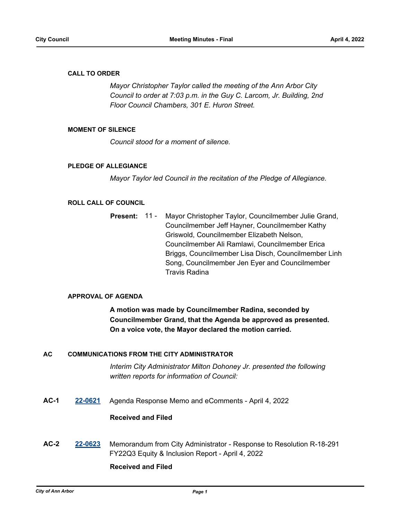### **CALL TO ORDER**

*Mayor Christopher Taylor called the meeting of the Ann Arbor City Council to order at 7:03 p.m. in the Guy C. Larcom, Jr. Building, 2nd Floor Council Chambers, 301 E. Huron Street.*

### **MOMENT OF SILENCE**

*Council stood for a moment of silence.*

### **PLEDGE OF ALLEGIANCE**

*Mayor Taylor led Council in the recitation of the Pledge of Allegiance.*

### **ROLL CALL OF COUNCIL**

Mayor Christopher Taylor, Councilmember Julie Grand, Councilmember Jeff Hayner, Councilmember Kathy Griswold, Councilmember Elizabeth Nelson, Councilmember Ali Ramlawi, Councilmember Erica Briggs, Councilmember Lisa Disch, Councilmember Linh Song, Councilmember Jen Eyer and Councilmember Travis Radina **Present:** 11 -

### **APPROVAL OF AGENDA**

**A motion was made by Councilmember Radina, seconded by Councilmember Grand, that the Agenda be approved as presented. On a voice vote, the Mayor declared the motion carried.**

### **AC COMMUNICATIONS FROM THE CITY ADMINISTRATOR**

*Interim City Administrator Milton Dohoney Jr. presented the following written reports for information of Council:*

**AC-1 [22-0621](http://a2gov.legistar.com/gateway.aspx?M=L&ID=29799)** Agenda Response Memo and eComments - April 4, 2022

### **Received and Filed**

**AC-2 [22-0623](http://a2gov.legistar.com/gateway.aspx?M=L&ID=29801)** Memorandum from City Administrator - Response to Resolution R-18-291 FY22Q3 Equity & Inclusion Report - April 4, 2022

### **Received and Filed**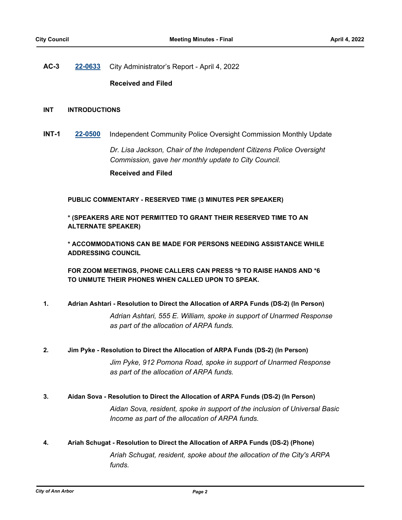**AC-3 [22-0633](http://a2gov.legistar.com/gateway.aspx?M=L&ID=29811)** City Administrator's Report - April 4, 2022

### **Received and Filed**

### **INT INTRODUCTIONS**

**INT-1 [22-0500](http://a2gov.legistar.com/gateway.aspx?M=L&ID=29678)** Independent Community Police Oversight Commission Monthly Update

*Dr. Lisa Jackson, Chair of the Independent Citizens Police Oversight Commission, gave her monthly update to City Council.* **Received and Filed**

**PUBLIC COMMENTARY - RESERVED TIME (3 MINUTES PER SPEAKER)**

**\* (SPEAKERS ARE NOT PERMITTED TO GRANT THEIR RESERVED TIME TO AN ALTERNATE SPEAKER)**

**\* ACCOMMODATIONS CAN BE MADE FOR PERSONS NEEDING ASSISTANCE WHILE ADDRESSING COUNCIL**

**FOR ZOOM MEETINGS, PHONE CALLERS CAN PRESS \*9 TO RAISE HANDS AND \*6 TO UNMUTE THEIR PHONES WHEN CALLED UPON TO SPEAK.**

### **1. Adrian Ashtari - Resolution to Direct the Allocation of ARPA Funds (DS-2) (In Person)**

*Adrian Ashtari, 555 E. William, spoke in support of Unarmed Response as part of the allocation of ARPA funds.*

**2. Jim Pyke - Resolution to Direct the Allocation of ARPA Funds (DS-2) (In Person)**

*Jim Pyke, 912 Pomona Road, spoke in support of Unarmed Response as part of the allocation of ARPA funds.*

### **3. Aidan Sova - Resolution to Direct the Allocation of ARPA Funds (DS-2) (In Person)**

*Aidan Sova, resident, spoke in support of the inclusion of Universal Basic Income as part of the allocation of ARPA funds.*

**4. Ariah Schugat - Resolution to Direct the Allocation of ARPA Funds (DS-2) (Phone)**

*Ariah Schugat, resident, spoke about the allocation of the City's ARPA funds.*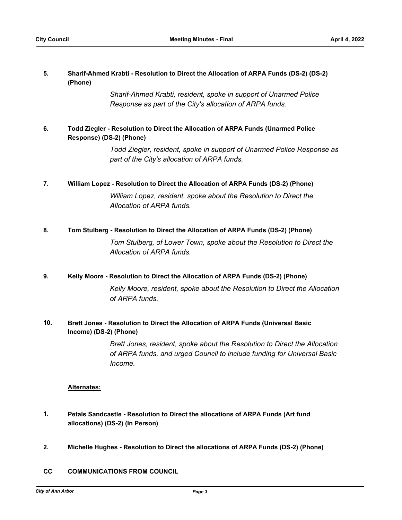### **Sharif-Ahmed Krabti - Resolution to Direct the Allocation of ARPA Funds (DS-2) (DS-2) (Phone) 5.**

*Sharif-Ahmed Krabti, resident, spoke in support of Unarmed Police Response as part of the City's allocation of ARPA funds.*

### **Todd Ziegler - Resolution to Direct the Allocation of ARPA Funds (Unarmed Police Response) (DS-2) (Phone) 6.**

*Todd Ziegler, resident, spoke in support of Unarmed Police Response as part of the City's allocation of ARPA funds.*

### **7. William Lopez - Resolution to Direct the Allocation of ARPA Funds (DS-2) (Phone)**

*William Lopez, resident, spoke about the Resolution to Direct the Allocation of ARPA funds.*

### **8. Tom Stulberg - Resolution to Direct the Allocation of ARPA Funds (DS-2) (Phone)**

*Tom Stulberg, of Lower Town, spoke about the Resolution to Direct the Allocation of ARPA funds.*

### **9. Kelly Moore - Resolution to Direct the Allocation of ARPA Funds (DS-2) (Phone)**

*Kelly Moore, resident, spoke about the Resolution to Direct the Allocation of ARPA funds.*

### **Brett Jones - Resolution to Direct the Allocation of ARPA Funds (Universal Basic Income) (DS-2) (Phone) 10.**

*Brett Jones, resident, spoke about the Resolution to Direct the Allocation of ARPA funds, and urged Council to include funding for Universal Basic Income.*

### **Alternates:**

- **Petals Sandcastle Resolution to Direct the allocations of ARPA Funds (Art fund allocations) (DS-2) (In Person) 1.**
- **2. Michelle Hughes Resolution to Direct the allocations of ARPA Funds (DS-2) (Phone)**
- **CC COMMUNICATIONS FROM COUNCIL**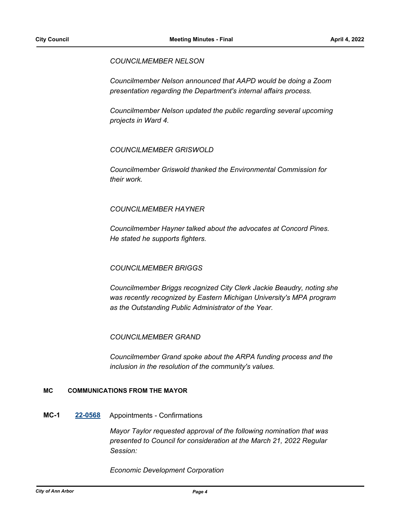### *COUNCILMEMBER NELSON*

*Councilmember Nelson announced that AAPD would be doing a Zoom presentation regarding the Department's internal affairs process.*

*Councilmember Nelson updated the public regarding several upcoming projects in Ward 4.*

### *COUNCILMEMBER GRISWOLD*

*Councilmember Griswold thanked the Environmental Commission for their work.*

### *COUNCILMEMBER HAYNER*

*Councilmember Hayner talked about the advocates at Concord Pines. He stated he supports fighters.*

### *COUNCILMEMBER BRIGGS*

*Councilmember Briggs recognized City Clerk Jackie Beaudry, noting she was recently recognized by Eastern Michigan University's MPA program as the Outstanding Public Administrator of the Year.*

### *COUNCILMEMBER GRAND*

*Councilmember Grand spoke about the ARPA funding process and the inclusion in the resolution of the community's values.*

### **MC COMMUNICATIONS FROM THE MAYOR**

### **MC-1 [22-0568](http://a2gov.legistar.com/gateway.aspx?M=L&ID=29746)** Appointments - Confirmations

*Mayor Taylor requested approval of the following nomination that was presented to Council for consideration at the March 21, 2022 Regular Session:*

*Economic Development Corporation*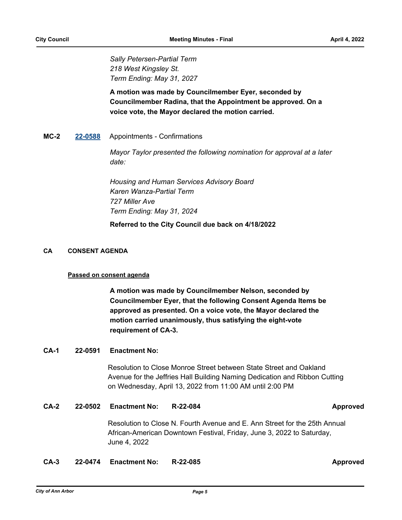*Sally Petersen-Partial Term 218 West Kingsley St. Term Ending: May 31, 2027*

**A motion was made by Councilmember Eyer, seconded by Councilmember Radina, that the Appointment be approved. On a voice vote, the Mayor declared the motion carried.**

### **MC-2 [22-0588](http://a2gov.legistar.com/gateway.aspx?M=L&ID=29766)** Appointments - Confirmations

*Mayor Taylor presented the following nomination for approval at a later date:*

*Housing and Human Services Advisory Board Karen Wanza-Partial Term 727 Miller Ave Term Ending: May 31, 2024*

**Referred to the City Council due back on 4/18/2022**

### **CA CONSENT AGENDA**

### **Passed on consent agenda**

**A motion was made by Councilmember Nelson, seconded by Councilmember Eyer, that the following Consent Agenda Items be approved as presented. On a voice vote, the Mayor declared the motion carried unanimously, thus satisfying the eight-vote requirement of CA-3.**

### **CA-1 22-0591 Enactment No:**

Resolution to Close Monroe Street between State Street and Oakland Avenue for the Jeffries Hall Building Naming Dedication and Ribbon Cutting on Wednesday, April 13, 2022 from 11:00 AM until 2:00 PM

### **CA-2 22-0502 Enactment No: R-22-084 Approved**

Resolution to Close N. Fourth Avenue and E. Ann Street for the 25th Annual African-American Downtown Festival, Friday, June 3, 2022 to Saturday, June 4, 2022

### **CA-3 22-0474 Enactment No: R-22-085 Approved**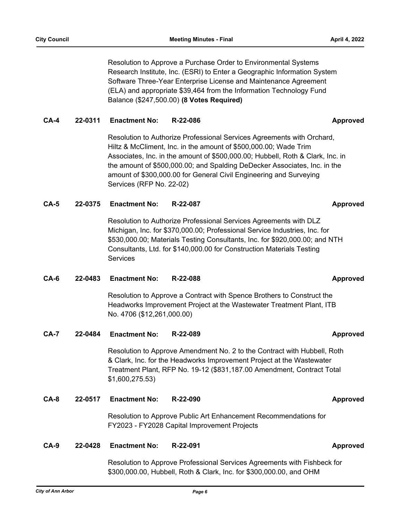Resolution to Approve a Purchase Order to Environmental Systems Research Institute, Inc. (ESRI) to Enter a Geographic Information System Software Three-Year Enterprise License and Maintenance Agreement (ELA) and appropriate \$39,464 from the Information Technology Fund Balance (\$247,500.00) **(8 Votes Required)**

## **CA-4 22-0311 Enactment No: R-22-086 Approved**

Resolution to Authorize Professional Services Agreements with Orchard, Hiltz & McCliment, Inc. in the amount of \$500,000.00; Wade Trim Associates, Inc. in the amount of \$500,000.00; Hubbell, Roth & Clark, Inc. in the amount of \$500,000.00; and Spalding DeDecker Associates, Inc. in the amount of \$300,000.00 for General Civil Engineering and Surveying Services (RFP No. 22-02)

### **CA-5 22-0375 Enactment No: R-22-087 Approved**

Resolution to Authorize Professional Services Agreements with DLZ Michigan, Inc. for \$370,000.00; Professional Service Industries, Inc. for \$530,000.00; Materials Testing Consultants, Inc. for \$920,000.00; and NTH Consultants, Ltd. for \$140,000.00 for Construction Materials Testing Services

### **CA-6 22-0483 Enactment No: R-22-088 Approved**

Resolution to Approve a Contract with Spence Brothers to Construct the Headworks Improvement Project at the Wastewater Treatment Plant, ITB No. 4706 (\$12,261,000.00)

### **CA-7 22-0484 Enactment No: R-22-089 Approved**

Resolution to Approve Amendment No. 2 to the Contract with Hubbell, Roth & Clark, Inc. for the Headworks Improvement Project at the Wastewater Treatment Plant, RFP No. 19-12 (\$831,187.00 Amendment, Contract Total \$1,600,275.53)

### **CA-8 22-0517 Enactment No: R-22-090 Approved**

Resolution to Approve Public Art Enhancement Recommendations for FY2023 - FY2028 Capital Improvement Projects

### **CA-9 22-0428 Enactment No: R-22-091 Approved**

Resolution to Approve Professional Services Agreements with Fishbeck for \$300,000.00, Hubbell, Roth & Clark, Inc. for \$300,000.00, and OHM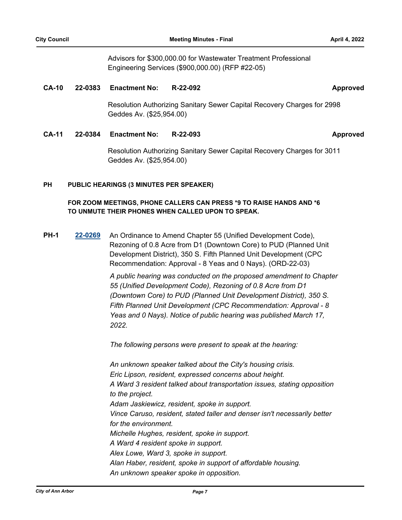Advisors for \$300,000.00 for Wastewater Treatment Professional Engineering Services (\$900,000.00) (RFP #22-05)

### **CA-10 22-0383 Enactment No: R-22-092 Approved**

Resolution Authorizing Sanitary Sewer Capital Recovery Charges for 2998 Geddes Av. (\$25,954.00)

### **CA-11 22-0384 Enactment No: R-22-093 Approved**

Resolution Authorizing Sanitary Sewer Capital Recovery Charges for 3011 Geddes Av. (\$25,954.00)

### **PUBLIC HEARINGS (3 MINUTES PER SPEAKER) PH**

### **FOR ZOOM MEETINGS, PHONE CALLERS CAN PRESS \*9 TO RAISE HANDS AND \*6 TO UNMUTE THEIR PHONES WHEN CALLED UPON TO SPEAK.**

**PH-1 [22-0269](http://a2gov.legistar.com/gateway.aspx?M=L&ID=29456)** An Ordinance to Amend Chapter 55 (Unified Development Code), Rezoning of 0.8 Acre from D1 (Downtown Core) to PUD (Planned Unit Development District), 350 S. Fifth Planned Unit Development (CPC Recommendation: Approval - 8 Yeas and 0 Nays). (ORD-22-03)

> *A public hearing was conducted on the proposed amendment to Chapter 55 (Unified Development Code), Rezoning of 0.8 Acre from D1 (Downtown Core) to PUD (Planned Unit Development District), 350 S. Fifth Planned Unit Development (CPC Recommendation: Approval - 8 Yeas and 0 Nays). Notice of public hearing was published March 17, 2022.*

*The following persons were present to speak at the hearing:*

*An unknown speaker talked about the City's housing crisis. Eric Lipson, resident, expressed concerns about height. A Ward 3 resident talked about transportation issues, stating opposition to the project. Adam Jaskiewicz, resident, spoke in support. Vince Caruso, resident, stated taller and denser isn't necessarily better for the environment. Michelle Hughes, resident, spoke in support. A Ward 4 resident spoke in support. Alex Lowe, Ward 3, spoke in support. Alan Haber, resident, spoke in support of affordable housing. An unknown speaker spoke in opposition.*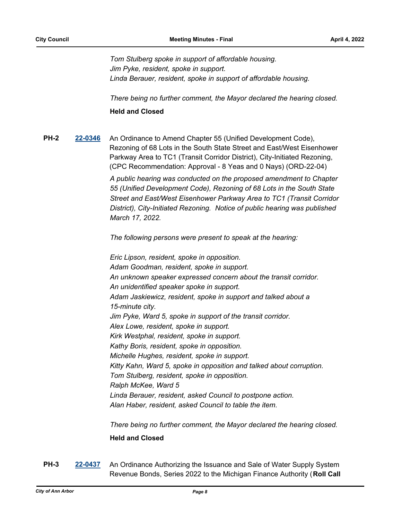*Tom Stulberg spoke in support of affordable housing. Jim Pyke, resident, spoke in support. Linda Berauer, resident, spoke in support of affordable housing.*

*There being no further comment, the Mayor declared the hearing closed.*

### **Held and Closed**

**PH-2 [22-0346](http://a2gov.legistar.com/gateway.aspx?M=L&ID=29533)** An Ordinance to Amend Chapter 55 (Unified Development Code), Rezoning of 68 Lots in the South State Street and East/West Eisenhower Parkway Area to TC1 (Transit Corridor District), City-Initiated Rezoning, (CPC Recommendation: Approval - 8 Yeas and 0 Nays) (ORD-22-04)

> *A public hearing was conducted on the proposed amendment to Chapter 55 (Unified Development Code), Rezoning of 68 Lots in the South State Street and East/West Eisenhower Parkway Area to TC1 (Transit Corridor District), City-Initiated Rezoning. Notice of public hearing was published March 17, 2022.*

*The following persons were present to speak at the hearing:*

*Eric Lipson, resident, spoke in opposition. Adam Goodman, resident, spoke in support. An unknown speaker expressed concern about the transit corridor. An unidentified speaker spoke in support. Adam Jaskiewicz, resident, spoke in support and talked about a 15-minute city. Jim Pyke, Ward 5, spoke in support of the transit corridor. Alex Lowe, resident, spoke in support. Kirk Westphal, resident, spoke in support. Kathy Boris, resident, spoke in opposition. Michelle Hughes, resident, spoke in support. Kitty Kahn, Ward 5, spoke in opposition and talked about corruption. Tom Stulberg, resident, spoke in opposition. Ralph McKee, Ward 5 Linda Berauer, resident, asked Council to postpone action. Alan Haber, resident, asked Council to table the item.*

*There being no further comment, the Mayor declared the hearing closed.*

### **Held and Closed**

**PH-3 [22-0437](http://a2gov.legistar.com/gateway.aspx?M=L&ID=29621)** An Ordinance Authorizing the Issuance and Sale of Water Supply System Revenue Bonds, Series 2022 to the Michigan Finance Authority (**Roll Call**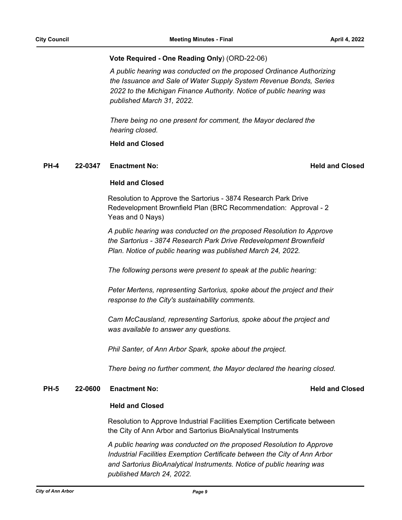### **Vote Required - One Reading Only**) (ORD-22-06)

*A public hearing was conducted on the proposed Ordinance Authorizing the Issuance and Sale of Water Supply System Revenue Bonds, Series 2022 to the Michigan Finance Authority. Notice of public hearing was published March 31, 2022.* 

*There being no one present for comment, the Mayor declared the hearing closed.*

### **Held and Closed**

### **PH-4 22-0347 Enactment No: Held and Closed**

### **Held and Closed**

Resolution to Approve the Sartorius - 3874 Research Park Drive Redevelopment Brownfield Plan (BRC Recommendation: Approval - 2 Yeas and 0 Nays)

*A public hearing was conducted on the proposed Resolution to Approve the Sartorius - 3874 Research Park Drive Redevelopment Brownfield Plan. Notice of public hearing was published March 24, 2022.* 

*The following persons were present to speak at the public hearing:*

*Peter Mertens, representing Sartorius, spoke about the project and their response to the City's sustainability comments.*

*Cam McCausland, representing Sartorius, spoke about the project and was available to answer any questions.*

*Phil Santer, of Ann Arbor Spark, spoke about the project.*

*There being no further comment, the Mayor declared the hearing closed.*

### **PH-5 22-0600 Enactment No:** And Conserversion **Held and Closed**

### **Held and Closed**

Resolution to Approve Industrial Facilities Exemption Certificate between the City of Ann Arbor and Sartorius BioAnalytical Instruments

*A public hearing was conducted on the proposed Resolution to Approve Industrial Facilities Exemption Certificate between the City of Ann Arbor and Sartorius BioAnalytical Instruments. Notice of public hearing was published March 24, 2022.*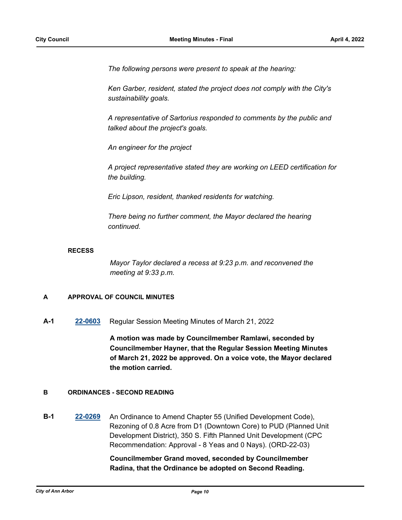*The following persons were present to speak at the hearing:*

*Ken Garber, resident, stated the project does not comply with the City's sustainability goals.*

*A representative of Sartorius responded to comments by the public and talked about the project's goals.*

*An engineer for the project*

*A project representative stated they are working on LEED certification for the building.*

*Eric Lipson, resident, thanked residents for watching.*

*There being no further comment, the Mayor declared the hearing continued.*

### **RECESS**

*Mayor Taylor declared a recess at 9:23 p.m. and reconvened the meeting at 9:33 p.m.*

### **A APPROVAL OF COUNCIL MINUTES**

**A-1 [22-0603](http://a2gov.legistar.com/gateway.aspx?M=L&ID=29781)** Regular Session Meeting Minutes of March 21, 2022

**A motion was made by Councilmember Ramlawi, seconded by Councilmember Hayner, that the Regular Session Meeting Minutes of March 21, 2022 be approved. On a voice vote, the Mayor declared the motion carried.**

### **B ORDINANCES - SECOND READING**

**B-1 [22-0269](http://a2gov.legistar.com/gateway.aspx?M=L&ID=29456)** An Ordinance to Amend Chapter 55 (Unified Development Code), Rezoning of 0.8 Acre from D1 (Downtown Core) to PUD (Planned Unit Development District), 350 S. Fifth Planned Unit Development (CPC Recommendation: Approval - 8 Yeas and 0 Nays). (ORD-22-03)

# **Councilmember Grand moved, seconded by Councilmember Radina, that the Ordinance be adopted on Second Reading.**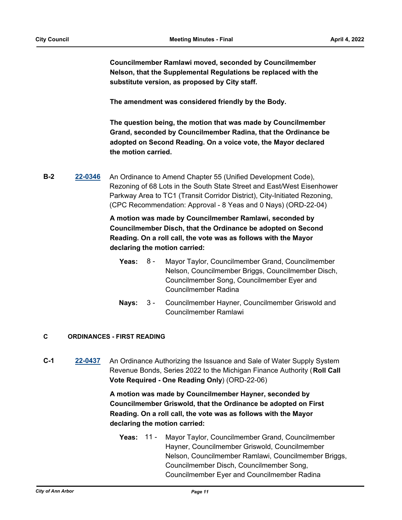**Councilmember Ramlawi moved, seconded by Councilmember Nelson, that the Supplemental Regulations be replaced with the substitute version, as proposed by City staff.**

**The amendment was considered friendly by the Body.**

**The question being, the motion that was made by Councilmember Grand, seconded by Councilmember Radina, that the Ordinance be adopted on Second Reading. On a voice vote, the Mayor declared the motion carried.**

**B-2 [22-0346](http://a2gov.legistar.com/gateway.aspx?M=L&ID=29533)** An Ordinance to Amend Chapter 55 (Unified Development Code), Rezoning of 68 Lots in the South State Street and East/West Eisenhower Parkway Area to TC1 (Transit Corridor District), City-Initiated Rezoning, (CPC Recommendation: Approval - 8 Yeas and 0 Nays) (ORD-22-04)

> **A motion was made by Councilmember Ramlawi, seconded by Councilmember Disch, that the Ordinance be adopted on Second Reading. On a roll call, the vote was as follows with the Mayor declaring the motion carried:**

- **Yeas:** Mayor Taylor, Councilmember Grand, Councilmember Nelson, Councilmember Briggs, Councilmember Disch, Councilmember Song, Councilmember Eyer and Councilmember Radina Yeas:  $8 -$
- Nays: 3 Councilmember Hayner, Councilmember Griswold and Councilmember Ramlawi  $3 -$

### **C ORDINANCES - FIRST READING**

**C-1 [22-0437](http://a2gov.legistar.com/gateway.aspx?M=L&ID=29621)** An Ordinance Authorizing the Issuance and Sale of Water Supply System Revenue Bonds, Series 2022 to the Michigan Finance Authority (**Roll Call Vote Required - One Reading Only**) (ORD-22-06)

> **A motion was made by Councilmember Hayner, seconded by Councilmember Griswold, that the Ordinance be adopted on First Reading. On a roll call, the vote was as follows with the Mayor declaring the motion carried:**

**Yeas:** Mayor Taylor, Councilmember Grand, Councilmember Hayner, Councilmember Griswold, Councilmember Nelson, Councilmember Ramlawi, Councilmember Briggs, Councilmember Disch, Councilmember Song, Councilmember Eyer and Councilmember Radina Yeas: 11 -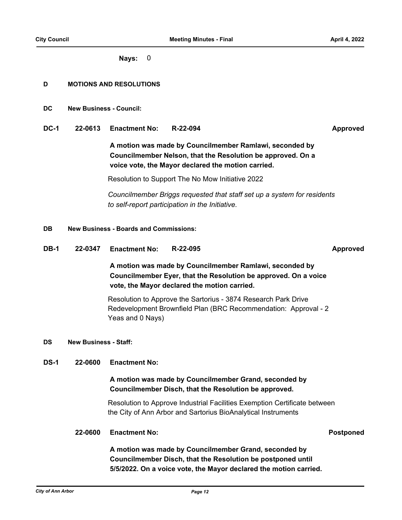**Nays:** 0

### **D MOTIONS AND RESOLUTIONS**

- **DC New Business Council:**
- **DC-1 22-0613 Enactment No: R-22-094 Approved**

**A motion was made by Councilmember Ramlawi, seconded by Councilmember Nelson, that the Resolution be approved. On a voice vote, the Mayor declared the motion carried.**

Resolution to Support The No Mow Initiative 2022

*Councilmember Briggs requested that staff set up a system for residents to self-report participation in the Initiative.*

### **DB New Business - Boards and Commissions:**

**DB-1 22-0347 Enactment No: R-22-095 Approved**

**A motion was made by Councilmember Ramlawi, seconded by Councilmember Eyer, that the Resolution be approved. On a voice vote, the Mayor declared the motion carried.**

Resolution to Approve the Sartorius - 3874 Research Park Drive Redevelopment Brownfield Plan (BRC Recommendation: Approval - 2 Yeas and 0 Nays)

### **DS New Business - Staff:**

### **DS-1 22-0600 Enactment No:**

# **A motion was made by Councilmember Grand, seconded by Councilmember Disch, that the Resolution be approved.**

Resolution to Approve Industrial Facilities Exemption Certificate between the City of Ann Arbor and Sartorius BioAnalytical Instruments

### **22-0600 Enactment No: Postponed**

**A motion was made by Councilmember Grand, seconded by Councilmember Disch, that the Resolution be postponed until 5/5/2022. On a voice vote, the Mayor declared the motion carried.**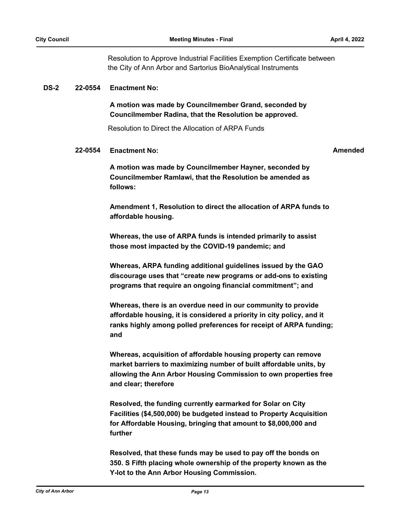Resolution to Approve Industrial Facilities Exemption Certificate between the City of Ann Arbor and Sartorius BioAnalytical Instruments

### **DS-2 22-0554 Enactment No:**

**A motion was made by Councilmember Grand, seconded by Councilmember Radina, that the Resolution be approved.**

Resolution to Direct the Allocation of ARPA Funds

### **22-0554 Enactment No: Amended**

**A motion was made by Councilmember Hayner, seconded by Councilmember Ramlawi, that the Resolution be amended as follows:**

**Amendment 1, Resolution to direct the allocation of ARPA funds to affordable housing.**

**Whereas, the use of ARPA funds is intended primarily to assist those most impacted by the COVID-19 pandemic; and**

**Whereas, ARPA funding additional guidelines issued by the GAO discourage uses that "create new programs or add-ons to existing programs that require an ongoing financial commitment"; and**

**Whereas, there is an overdue need in our community to provide affordable housing, it is considered a priority in city policy, and it ranks highly among polled preferences for receipt of ARPA funding; and** 

**Whereas, acquisition of affordable housing property can remove market barriers to maximizing number of built affordable units, by allowing the Ann Arbor Housing Commission to own properties free and clear; therefore**

**Resolved, the funding currently earmarked for Solar on City Facilities (\$4,500,000) be budgeted instead to Property Acquisition for Affordable Housing, bringing that amount to \$8,000,000 and further**

**Resolved, that these funds may be used to pay off the bonds on 350. S Fifth placing whole ownership of the property known as the Y-lot to the Ann Arbor Housing Commission.**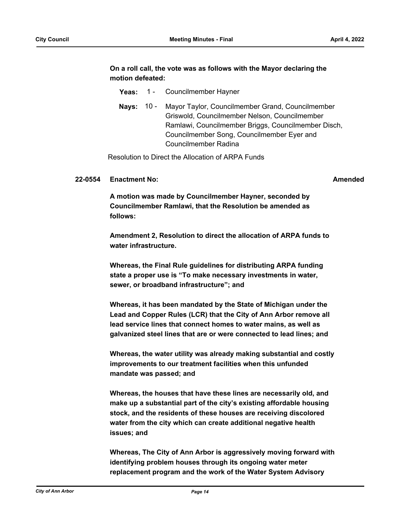### **On a roll call, the vote was as follows with the Mayor declaring the motion defeated:**

- Yeas: 1 Councilmember Hayner
- Nays: 10 Mayor Taylor, Councilmember Grand, Councilmember Griswold, Councilmember Nelson, Councilmember Ramlawi, Councilmember Briggs, Councilmember Disch, Councilmember Song, Councilmember Eyer and Councilmember Radina

Resolution to Direct the Allocation of ARPA Funds

### **22-0554 Enactment No: Amended**

**A motion was made by Councilmember Hayner, seconded by Councilmember Ramlawi, that the Resolution be amended as follows:**

**Amendment 2, Resolution to direct the allocation of ARPA funds to water infrastructure.**

**Whereas, the Final Rule guidelines for distributing ARPA funding state a proper use is "To make necessary investments in water, sewer, or broadband infrastructure"; and**

**Whereas, it has been mandated by the State of Michigan under the Lead and Copper Rules (LCR) that the City of Ann Arbor remove all lead service lines that connect homes to water mains, as well as galvanized steel lines that are or were connected to lead lines; and**

**Whereas, the water utility was already making substantial and costly improvements to our treatment facilities when this unfunded mandate was passed; and**

**Whereas, the houses that have these lines are necessarily old, and make up a substantial part of the city's existing affordable housing stock, and the residents of these houses are receiving discolored water from the city which can create additional negative health issues; and**

**Whereas, The City of Ann Arbor is aggressively moving forward with identifying problem houses through its ongoing water meter replacement program and the work of the Water System Advisory**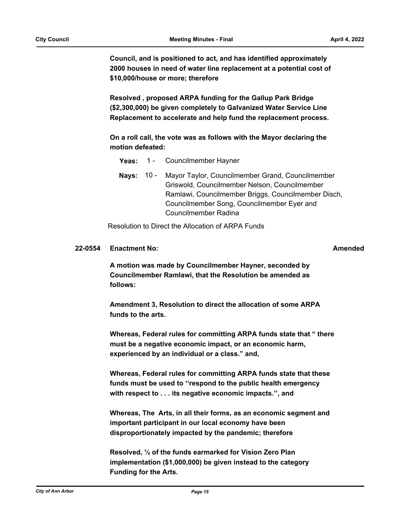**Council, and is positioned to act, and has identified approximately 2000 houses in need of water line replacement at a potential cost of \$10,000/house or more; therefore**

**Resolved , proposed ARPA funding for the Gallup Park Bridge (\$2,300,000) be given completely to Galvanized Water Service Line Replacement to accelerate and help fund the replacement process.**

**On a roll call, the vote was as follows with the Mayor declaring the motion defeated:**

- **Yeas:** 1 Councilmember Hayner
- Nays: 10 Mayor Taylor, Councilmember Grand, Councilmember Griswold, Councilmember Nelson, Councilmember Ramlawi, Councilmember Briggs, Councilmember Disch, Councilmember Song, Councilmember Eyer and Councilmember Radina

Resolution to Direct the Allocation of ARPA Funds

### **22-0554 Enactment No: Amended**

**A motion was made by Councilmember Hayner, seconded by Councilmember Ramlawi, that the Resolution be amended as follows:** 

**Amendment 3, Resolution to direct the allocation of some ARPA funds to the arts.**

**Whereas, Federal rules for committing ARPA funds state that " there must be a negative economic impact, or an economic harm, experienced by an individual or a class." and,**

**Whereas, Federal rules for committing ARPA funds state that these funds must be used to ''respond to the public health emergency with respect to . . . its negative economic impacts.'', and**

**Whereas, The Arts, in all their forms, as an economic segment and important participant in our local economy have been disproportionately impacted by the pandemic; therefore**

**Resolved, ½ of the funds earmarked for Vision Zero Plan implementation (\$1,000,000) be given instead to the category Funding for the Arts.**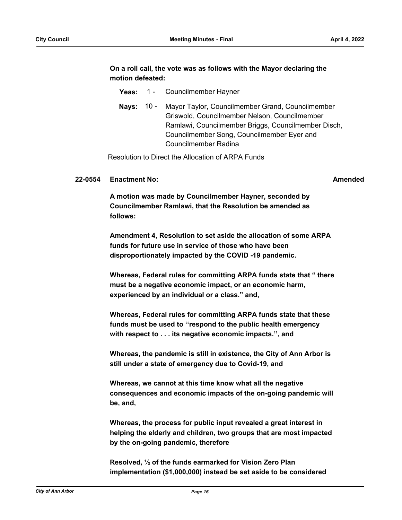### **On a roll call, the vote was as follows with the Mayor declaring the motion defeated:**

- Yeas: 1 Councilmember Hayner
- Nays: 10 Mayor Taylor, Councilmember Grand, Councilmember Griswold, Councilmember Nelson, Councilmember Ramlawi, Councilmember Briggs, Councilmember Disch, Councilmember Song, Councilmember Eyer and Councilmember Radina

Resolution to Direct the Allocation of ARPA Funds

### **22-0554 Enactment No: Amended**

**A motion was made by Councilmember Hayner, seconded by Councilmember Ramlawi, that the Resolution be amended as follows:**

**Amendment 4, Resolution to set aside the allocation of some ARPA funds for future use in service of those who have been disproportionately impacted by the COVID -19 pandemic.**

**Whereas, Federal rules for committing ARPA funds state that " there must be a negative economic impact, or an economic harm, experienced by an individual or a class." and,**

**Whereas, Federal rules for committing ARPA funds state that these funds must be used to ''respond to the public health emergency with respect to . . . its negative economic impacts.'', and**

**Whereas, the pandemic is still in existence, the City of Ann Arbor is still under a state of emergency due to Covid-19, and**

**Whereas, we cannot at this time know what all the negative consequences and economic impacts of the on-going pandemic will be, and,**

**Whereas, the process for public input revealed a great interest in helping the elderly and children, two groups that are most impacted by the on-going pandemic, therefore**

**Resolved, ½ of the funds earmarked for Vision Zero Plan implementation (\$1,000,000) instead be set aside to be considered**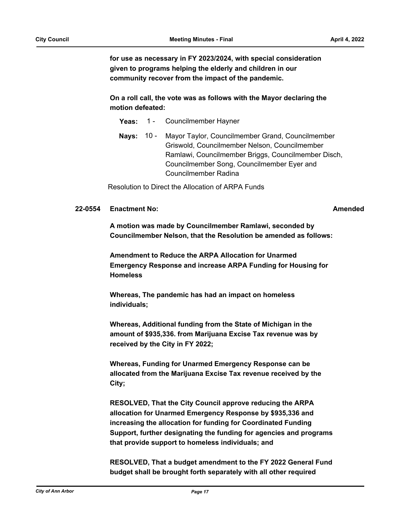**for use as necessary in FY 2023/2024, with special consideration given to programs helping the elderly and children in our community recover from the impact of the pandemic.**

**On a roll call, the vote was as follows with the Mayor declaring the motion defeated:**

- **Yeas:** 1 Councilmember Hayner
- **Nays:** Mayor Taylor, Councilmember Grand, Councilmember Griswold, Councilmember Nelson, Councilmember Ramlawi, Councilmember Briggs, Councilmember Disch, Councilmember Song, Councilmember Eyer and Councilmember Radina **Nays: 10 -**

Resolution to Direct the Allocation of ARPA Funds

### **22-0554 Enactment No: Amended**

**A motion was made by Councilmember Ramlawi, seconded by Councilmember Nelson, that the Resolution be amended as follows:**

**Amendment to Reduce the ARPA Allocation for Unarmed Emergency Response and increase ARPA Funding for Housing for Homeless**

**Whereas, The pandemic has had an impact on homeless individuals;**

**Whereas, Additional funding from the State of Michigan in the amount of \$935,336. from Marijuana Excise Tax revenue was by received by the City in FY 2022;**

**Whereas, Funding for Unarmed Emergency Response can be allocated from the Marijuana Excise Tax revenue received by the City;**

**RESOLVED, That the City Council approve reducing the ARPA allocation for Unarmed Emergency Response by \$935,336 and increasing the allocation for funding for Coordinated Funding Support, further designating the funding for agencies and programs that provide support to homeless individuals; and**

**RESOLVED, That a budget amendment to the FY 2022 General Fund budget shall be brought forth separately with all other required**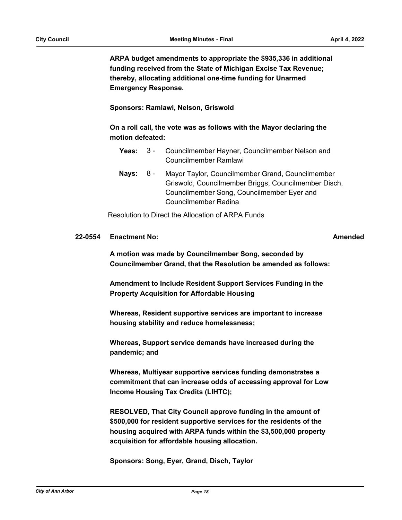**ARPA budget amendments to appropriate the \$935,336 in additional funding received from the State of Michigan Excise Tax Revenue; thereby, allocating additional one-time funding for Unarmed Emergency Response.** 

### **Sponsors: Ramlawi, Nelson, Griswold**

**On a roll call, the vote was as follows with the Mayor declaring the motion defeated:**

- Yeas: 3 Councilmember Hayner, Councilmember Nelson and Councilmember Ramlawi  $3 -$
- Nays: 8 Mayor Taylor, Councilmember Grand, Councilmember Griswold, Councilmember Briggs, Councilmember Disch, Councilmember Song, Councilmember Eyer and Councilmember Radina 8 -

Resolution to Direct the Allocation of ARPA Funds

### **22-0554 Enactment No: Amended**

**A motion was made by Councilmember Song, seconded by Councilmember Grand, that the Resolution be amended as follows:**

**Amendment to Include Resident Support Services Funding in the Property Acquisition for Affordable Housing**

**Whereas, Resident supportive services are important to increase housing stability and reduce homelessness;** 

**Whereas, Support service demands have increased during the pandemic; and**

**Whereas, Multiyear supportive services funding demonstrates a commitment that can increase odds of accessing approval for Low Income Housing Tax Credits (LIHTC);**

**RESOLVED, That City Council approve funding in the amount of \$500,000 for resident supportive services for the residents of the housing acquired with ARPA funds within the \$3,500,000 property acquisition for affordable housing allocation.**

**Sponsors: Song, Eyer, Grand, Disch, Taylor**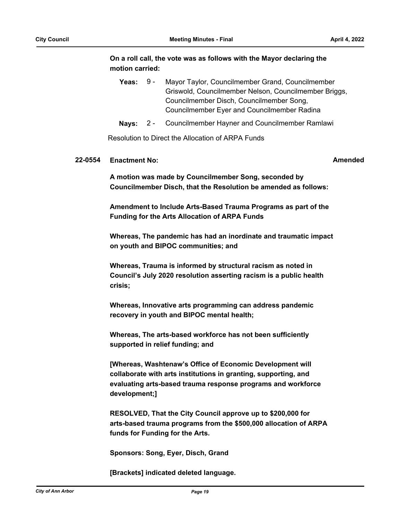**On a roll call, the vote was as follows with the Mayor declaring the motion carried:**

|  | Yeas: 9 - Mayor Taylor, Councilmember Grand, Councilmember |
|--|------------------------------------------------------------|
|  | Griswold, Councilmember Nelson, Councilmember Briggs,      |
|  | Councilmember Disch, Councilmember Song,                   |
|  | Councilmember Eyer and Councilmember Radina                |
|  |                                                            |

**Nays:** 2 - Councilmember Hayner and Councilmember Ramlawi

Resolution to Direct the Allocation of ARPA Funds

### **22-0554 Enactment No: Amended**

**A motion was made by Councilmember Song, seconded by Councilmember Disch, that the Resolution be amended as follows:**

**Amendment to Include Arts-Based Trauma Programs as part of the Funding for the Arts Allocation of ARPA Funds**

**Whereas, The pandemic has had an inordinate and traumatic impact on youth and BIPOC communities; and**

**Whereas, Trauma is informed by structural racism as noted in Council's July 2020 resolution asserting racism is a public health crisis;** 

**Whereas, Innovative arts programming can address pandemic recovery in youth and BIPOC mental health;** 

**Whereas, The arts-based workforce has not been sufficiently supported in relief funding; and** 

**[Whereas, Washtenaw's Office of Economic Development will collaborate with arts institutions in granting, supporting, and evaluating arts-based trauma response programs and workforce development;]**

**RESOLVED, That the City Council approve up to \$200,000 for arts-based trauma programs from the \$500,000 allocation of ARPA funds for Funding for the Arts.**

**Sponsors: Song, Eyer, Disch, Grand**

**[Brackets] indicated deleted language.**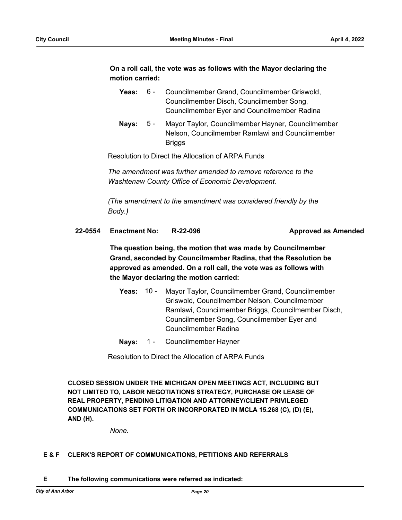## **On a roll call, the vote was as follows with the Mayor declaring the motion carried:**

| Yeas: | . 6 - | Councilmember Grand, Councilmember Griswold, |
|-------|-------|----------------------------------------------|
|       |       | Councilmember Disch, Councilmember Song,     |
|       |       | Councilmember Eyer and Councilmember Radina  |

Nays: 5 - Mayor Taylor, Councilmember Hayner, Councilmember Nelson, Councilmember Ramlawi and Councilmember Briggs 5 -

Resolution to Direct the Allocation of ARPA Funds

*The amendment was further amended to remove reference to the Washtenaw County Office of Economic Development.*

*(The amendment to the amendment was considered friendly by the Body.)*

### **22-0554 Enactment No: R-22-096 Approved as Amended**

**The question being, the motion that was made by Councilmember Grand, seconded by Councilmember Radina, that the Resolution be approved as amended. On a roll call, the vote was as follows with the Mayor declaring the motion carried:**

- **Yeas:** Mayor Taylor, Councilmember Grand, Councilmember Griswold, Councilmember Nelson, Councilmember Ramlawi, Councilmember Briggs, Councilmember Disch, Councilmember Song, Councilmember Eyer and Councilmember Radina Yeas:  $10 -$
- **Nays:** 1 Councilmember Hayner

Resolution to Direct the Allocation of ARPA Funds

**CLOSED SESSION UNDER THE MICHIGAN OPEN MEETINGS ACT, INCLUDING BUT NOT LIMITED TO, LABOR NEGOTIATIONS STRATEGY, PURCHASE OR LEASE OF REAL PROPERTY, PENDING LITIGATION AND ATTORNEY/CLIENT PRIVILEGED COMMUNICATIONS SET FORTH OR INCORPORATED IN MCLA 15.268 (C), (D) (E), AND (H).**

*None.*

### **E & F CLERK'S REPORT OF COMMUNICATIONS, PETITIONS AND REFERRALS**

**E The following communications were referred as indicated:**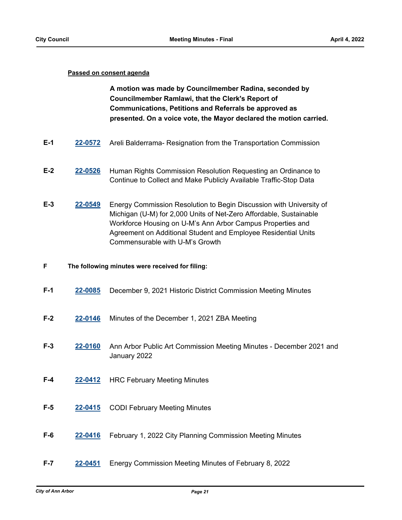### **Passed on consent agenda**

**A motion was made by Councilmember Radina, seconded by Councilmember Ramlawi, that the Clerk's Report of Communications, Petitions and Referrals be approved as presented. On a voice vote, the Mayor declared the motion carried.**

- **E-1 [22-0572](http://a2gov.legistar.com/gateway.aspx?M=L&ID=29750)** Areli Balderrama- Resignation from the Transportation Commission
- **E-2 [22-0526](http://a2gov.legistar.com/gateway.aspx?M=L&ID=29704)** Human Rights Commission Resolution Requesting an Ordinance to Continue to Collect and Make Publicly Available Traffic-Stop Data
- **E-3 [22-0549](http://a2gov.legistar.com/gateway.aspx?M=L&ID=29727)** Energy Commission Resolution to Begin Discussion with University of Michigan (U-M) for 2,000 Units of Net-Zero Affordable, Sustainable Workforce Housing on U-M's Ann Arbor Campus Properties and Agreement on Additional Student and Employee Residential Units Commensurable with U-M's Growth

### **F The following minutes were received for filing:**

- **F-1 [22-0085](http://a2gov.legistar.com/gateway.aspx?M=L&ID=29276)** December 9, 2021 Historic District Commission Meeting Minutes
- **F-2 [22-0146](http://a2gov.legistar.com/gateway.aspx?M=L&ID=29337)** Minutes of the December 1, 2021 ZBA Meeting
- **F-3 [22-0160](http://a2gov.legistar.com/gateway.aspx?M=L&ID=29351)** Ann Arbor Public Art Commission Meeting Minutes December 2021 and January 2022
- **F-4 [22-0412](http://a2gov.legistar.com/gateway.aspx?M=L&ID=29596)** HRC February Meeting Minutes
- **F-5 [22-0415](http://a2gov.legistar.com/gateway.aspx?M=L&ID=29599)** CODI February Meeting Minutes
- **F-6 [22-0416](http://a2gov.legistar.com/gateway.aspx?M=L&ID=29600)** February 1, 2022 City Planning Commission Meeting Minutes
- **F-7 [22-0451](http://a2gov.legistar.com/gateway.aspx?M=L&ID=29635)** Energy Commission Meeting Minutes of February 8, 2022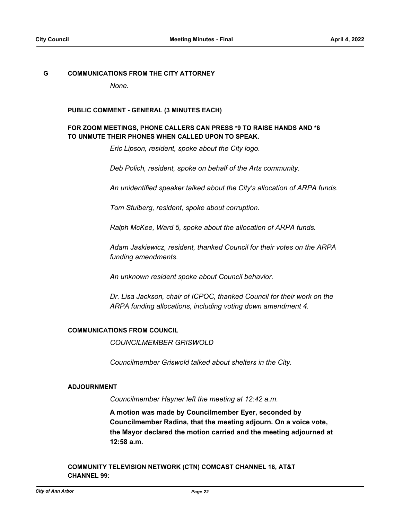### **G COMMUNICATIONS FROM THE CITY ATTORNEY**

*None.*

### **PUBLIC COMMENT - GENERAL (3 MINUTES EACH)**

### **FOR ZOOM MEETINGS, PHONE CALLERS CAN PRESS \*9 TO RAISE HANDS AND \*6 TO UNMUTE THEIR PHONES WHEN CALLED UPON TO SPEAK.**

*Eric Lipson, resident, spoke about the City logo.*

*Deb Polich, resident, spoke on behalf of the Arts community.*

*An unidentified speaker talked about the City's allocation of ARPA funds.*

*Tom Stulberg, resident, spoke about corruption.*

*Ralph McKee, Ward 5, spoke about the allocation of ARPA funds.*

*Adam Jaskiewicz, resident, thanked Council for their votes on the ARPA funding amendments.*

*An unknown resident spoke about Council behavior.*

*Dr. Lisa Jackson, chair of ICPOC, thanked Council for their work on the ARPA funding allocations, including voting down amendment 4.*

### **COMMUNICATIONS FROM COUNCIL**

*COUNCILMEMBER GRISWOLD*

*Councilmember Griswold talked about shelters in the City.*

### **ADJOURNMENT**

*Councilmember Hayner left the meeting at 12:42 a.m.*

**A motion was made by Councilmember Eyer, seconded by Councilmember Radina, that the meeting adjourn. On a voice vote, the Mayor declared the motion carried and the meeting adjourned at 12:58 a.m.**

**COMMUNITY TELEVISION NETWORK (CTN) COMCAST CHANNEL 16, AT&T CHANNEL 99:**